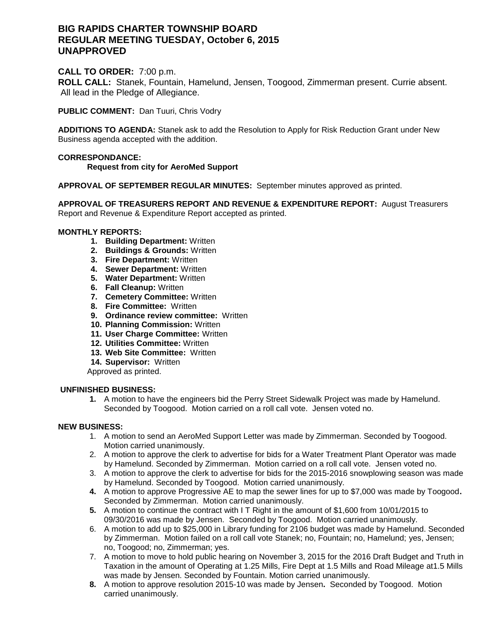# **BIG RAPIDS CHARTER TOWNSHIP BOARD REGULAR MEETING TUESDAY, October 6, 2015 UNAPPROVED**

### **CALL TO ORDER:** 7:00 p.m.

**ROLL CALL:** Stanek, Fountain, Hamelund, Jensen, Toogood, Zimmerman present. Currie absent. All lead in the Pledge of Allegiance.

**PUBLIC COMMENT:** Dan Tuuri, Chris Vodry

**ADDITIONS TO AGENDA:** Stanek ask to add the Resolution to Apply for Risk Reduction Grant under New Business agenda accepted with the addition.

#### **CORRESPONDANCE:**

**Request from city for AeroMed Support**

**APPROVAL OF SEPTEMBER REGULAR MINUTES:** September minutes approved as printed.

**APPROVAL OF TREASURERS REPORT AND REVENUE & EXPENDITURE REPORT:** August Treasurers Report and Revenue & Expenditure Report accepted as printed.

#### **MONTHLY REPORTS:**

- **1. Building Department:** Written
- **2. Buildings & Grounds:** Written
- **3. Fire Department:** Written
- **4. Sewer Department:** Written
- **5. Water Department:** Written
- **6. Fall Cleanup:** Written
- **7. Cemetery Committee:** Written
- **8. Fire Committee:** Written
- **9. Ordinance review committee:** Written
- **10. Planning Commission:** Written
- **11. User Charge Committee:** Written
- **12. Utilities Committee:** Written
- **13. Web Site Committee:** Written
- **14. Supervisor:** Written

Approved as printed.

#### **UNFINISHED BUSINESS:**

**1.** A motion to have the engineers bid the Perry Street Sidewalk Project was made by Hamelund. Seconded by Toogood. Motion carried on a roll call vote. Jensen voted no.

### **NEW BUSINESS:**

- 1. A motion to send an AeroMed Support Letter was made by Zimmerman. Seconded by Toogood. Motion carried unanimously.
- 2. A motion to approve the clerk to advertise for bids for a Water Treatment Plant Operator was made by Hamelund. Seconded by Zimmerman. Motion carried on a roll call vote. Jensen voted no.
- 3. A motion to approve the clerk to advertise for bids for the 2015-2016 snowplowing season was made by Hamelund. Seconded by Toogood. Motion carried unanimously.
- **4.** A motion to approve Progressive AE to map the sewer lines for up to \$7,000 was made by Toogood**.**  Seconded by Zimmerman. Motion carried unanimously.
- **5.** A motion to continue the contract with I T Right in the amount of \$1,600 from 10/01/2015 to 09/30/2016 was made by Jensen. Seconded by Toogood. Motion carried unanimously.
- 6. A motion to add up to \$25,000 in Library funding for 2106 budget was made by Hamelund. Seconded by Zimmerman. Motion failed on a roll call vote Stanek; no, Fountain; no, Hamelund; yes, Jensen; no, Toogood; no, Zimmerman; yes.
- 7. A motion to move to hold public hearing on November 3, 2015 for the 2016 Draft Budget and Truth in Taxation in the amount of Operating at 1.25 Mills, Fire Dept at 1.5 Mills and Road Mileage at1.5 Mills was made by Jensen. Seconded by Fountain. Motion carried unanimously.
- **8.** A motion to approve resolution 2015-10 was made by Jensen**.** Seconded by Toogood. Motion carried unanimously.